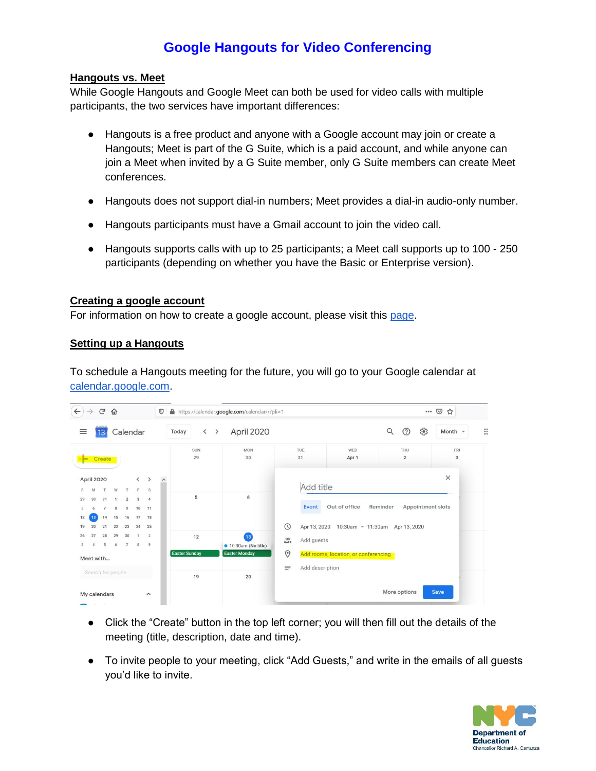## **Google Hangouts for Video Conferencing**

## **Hangouts vs. Meet**

While Google Hangouts and Google Meet can both be used for video calls with multiple participants, the two services have important differences:

- Hangouts is a free product and anyone with a Google account may join or create a Hangouts; Meet is part of the G Suite, which is a paid account, and while anyone can join a Meet when invited by a G Suite member, only G Suite members can create Meet conferences.
- Hangouts does not support dial-in numbers; Meet provides a dial-in audio-only number.
- Hangouts participants must have a Gmail account to join the video call.
- Hangouts supports calls with up to 25 participants; a Meet call supports up to 100 250 participants (depending on whether you have the Basic or Enterprise version).

## **Creating a google account**

For information on how to create a google account, please visit this [page.](https://support.google.com/accounts/answer/27441?hl=en)

## **Setting up a Hangouts**

To schedule a Hangouts meeting for the future, you will go to your Google calendar at [calendar.google.com.](https://calendar.google.com/)

| $\leftarrow$<br>G<br>⇧<br>$\rightarrow$<br>Calendar<br>$\equiv$<br>13 |                                                                  |          |                      |                               |                      | $\odot$  | A https://calendar.google.com/calendar/r?pli=1     | $\cdots$ $\odot$<br>☆                           |                       |                 |                                      |                                |              |  |
|-----------------------------------------------------------------------|------------------------------------------------------------------|----------|----------------------|-------------------------------|----------------------|----------|----------------------------------------------------|-------------------------------------------------|-----------------------|-----------------|--------------------------------------|--------------------------------|--------------|--|
|                                                                       |                                                                  |          |                      |                               |                      |          | $\overline{\phantom{a}}$<br>Today<br>$\rightarrow$ | April 2020                                      |                       |                 |                                      | భి<br>$\circledcirc$<br>Q      | Month $\sim$ |  |
| ⊨                                                                     | Create                                                           |          |                      |                               |                      |          | <b>SUN</b><br>29                                   | <b>MON</b><br>30                                |                       | TUE<br>31       | WED<br>Apr 1                         | THU<br>$\overline{2}$          | FRI<br>3     |  |
| M<br>S                                                                | April 2020<br>$\langle$ $\rangle$<br>W<br>F.<br>$\mathbf S$<br>T |          |                      |                               |                      | $\hat{}$ |                                                    |                                                 | $\times$<br>Add title |                 |                                      |                                |              |  |
| 30<br>29<br>5                                                         | 31<br>14                                                         |          | $\overline{2}$<br>9  | $\overline{\mathbf{3}}$<br>10 | $\overline{4}$<br>11 |          | 5                                                  | 6                                               |                       | <b>Event</b>    | Out of office                        | Reminder<br>Appointment slots  |              |  |
| 12<br>19<br>20                                                        | 21                                                               | 15<br>22 | 16<br>23             | 17<br>24                      | 18<br>25             |          |                                                    |                                                 | $\odot$               | Apr 13, 2020    |                                      | 10:30am - 11:30am Apr 13, 2020 |              |  |
| 26<br>27<br>3<br>4                                                    | 28<br>5                                                          | 29<br>6  | 30<br>$\overline{7}$ | 1<br>$\mathbf{g}$             | $\overline{2}$<br>9  |          | 12                                                 | $\overline{13}$<br>$\bullet$ 10:30am (No title) | ക്                    | Add guests      |                                      |                                |              |  |
| Meet with                                                             |                                                                  |          |                      |                               |                      |          | <b>Easter Sunday</b>                               | <b>Easter Monday</b>                            | $\odot$<br>$\equiv$   | Add description | Add rooms, location, or conferencing |                                |              |  |
| Search for people                                                     |                                                                  |          |                      |                               |                      |          | 19                                                 | 20                                              |                       |                 |                                      |                                |              |  |
| My calendars<br>$\hat{\phantom{a}}$<br>The Control                    |                                                                  |          |                      |                               |                      |          |                                                    |                                                 |                       |                 |                                      | More options                   | Save         |  |

- Click the "Create" button in the top left corner; you will then fill out the details of the meeting (title, description, date and time).
- To invite people to your meeting, click "Add Guests," and write in the emails of all guests you'd like to invite.